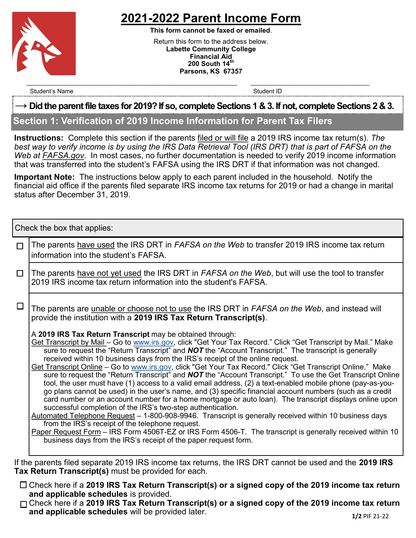

# **2021-2022 Parent Income Form**

**This form cannot be faxed or emailed**. Return this form to the address below. **Labette Community College Financial Aid 200 South 14th Parsons, KS 67357**

Student's Name Student ID and the Student ID student ID student ID and the Student ID student ID

#### **→ Did the parent file taxes for 2019? If so, complete Sections 1 & 3. If not, complete Sections 2 & 3.**

 $\mathcal{L}_\text{max} = \mathcal{L}_\text{max} = \mathcal{L}_\text{max} = \mathcal{L}_\text{max} = \mathcal{L}_\text{max} = \mathcal{L}_\text{max} = \mathcal{L}_\text{max} = \mathcal{L}_\text{max} = \mathcal{L}_\text{max} = \mathcal{L}_\text{max} = \mathcal{L}_\text{max} = \mathcal{L}_\text{max} = \mathcal{L}_\text{max} = \mathcal{L}_\text{max} = \mathcal{L}_\text{max} = \mathcal{L}_\text{max} = \mathcal{L}_\text{max} = \mathcal{L}_\text{max} = \mathcal{$ 

## **Section 1: Verification of 2019 Income Information for Parent Tax Filers**

**Instructions:** Complete this section if the parents filed or will file a 2019 IRS income tax return(s). *The best way to verify income is by using the IRS Data Retrieval Tool (IRS DRT) that is part of FAFSA on the Web at FAFSA.gov*. In most cases, no further documentation is needed to verify 2019 income information that was transferred into the student's FAFSA using the IRS DRT if that information was not changed.

**Important Note:** The instructions below apply to each parent included in the household. Notify the financial aid office if the parents filed separate IRS income tax returns for 2019 or had a change in marital status after December 31, 2019.

Check the box that applies:

| $\Box$ | The parents have used the IRS DRT in <i>FAFSA on the Web</i> to transfer 2019 IRS income tax return<br>information into the student's FAFSA.                                                                                                                                                                                                                                                                                                                                                                                                                                                                                                                                                                                                                                                                                                                                                                                                                                                                                                                                                                                                                                                                                                                                                                                                                        |  |  |  |
|--------|---------------------------------------------------------------------------------------------------------------------------------------------------------------------------------------------------------------------------------------------------------------------------------------------------------------------------------------------------------------------------------------------------------------------------------------------------------------------------------------------------------------------------------------------------------------------------------------------------------------------------------------------------------------------------------------------------------------------------------------------------------------------------------------------------------------------------------------------------------------------------------------------------------------------------------------------------------------------------------------------------------------------------------------------------------------------------------------------------------------------------------------------------------------------------------------------------------------------------------------------------------------------------------------------------------------------------------------------------------------------|--|--|--|
| $\Box$ | The parents have not yet used the IRS DRT in FAFSA on the Web, but will use the tool to transfer<br>2019 IRS income tax return information into the student's FAFSA.                                                                                                                                                                                                                                                                                                                                                                                                                                                                                                                                                                                                                                                                                                                                                                                                                                                                                                                                                                                                                                                                                                                                                                                                |  |  |  |
| $\Box$ | The parents are unable or choose not to use the IRS DRT in FAFSA on the Web, and instead will<br>provide the institution with a 2019 IRS Tax Return Transcript(s).                                                                                                                                                                                                                                                                                                                                                                                                                                                                                                                                                                                                                                                                                                                                                                                                                                                                                                                                                                                                                                                                                                                                                                                                  |  |  |  |
|        | A 2019 IRS Tax Return Transcript may be obtained through:<br>Get Transcript by Mail - Go to www.irs.gov, click "Get Your Tax Record." Click "Get Transcript by Mail." Make<br>sure to request the "Return Transcript" and <b>NOT</b> the "Account Transcript." The transcript is generally<br>received within 10 business days from the IRS's receipt of the online request.<br>Get Transcript Online - Go to www.irs.gov, click "Get Your Tax Record." Click "Get Transcript Online." Make<br>sure to request the "Return Transcript" and <b>NOT</b> the "Account Transcript." To use the Get Transcript Online<br>tool, the user must have (1) access to a valid email address, (2) a text-enabled mobile phone (pay-as-you-<br>go plans cannot be used) in the user's name, and (3) specific financial account numbers (such as a credit<br>card number or an account number for a home mortgage or auto loan). The transcript displays online upon<br>successful completion of the IRS's two-step authentication.<br>Automated Telephone Request - 1-800-908-9946. Transcript is generally received within 10 business days<br>from the IRS's receipt of the telephone request.<br>Paper Request Form – IRS Form 4506T-EZ or IRS Form 4506-T. The transcript is generally received within 10<br>business days from the IRS's receipt of the paper request form. |  |  |  |
|        | If the parents filed separate 2019 IRS income tax returns, the IRS DRT cannot be used and the 2019 IRS                                                                                                                                                                                                                                                                                                                                                                                                                                                                                                                                                                                                                                                                                                                                                                                                                                                                                                                                                                                                                                                                                                                                                                                                                                                              |  |  |  |

- **Tax Return Transcript(s)** must be provided for each.
	- Check here if a **2019 IRS Tax Return Transcript(s) or a signed copy of the 2019 income tax return and applicable schedules** is provided.
	- Check here if a **2019 IRS Tax Return Transcript(s) or a signed copy of the 2019 income tax return and applicable schedules** will be provided later. **1/2 PIF 21-22 1/2 PIF 21-22**